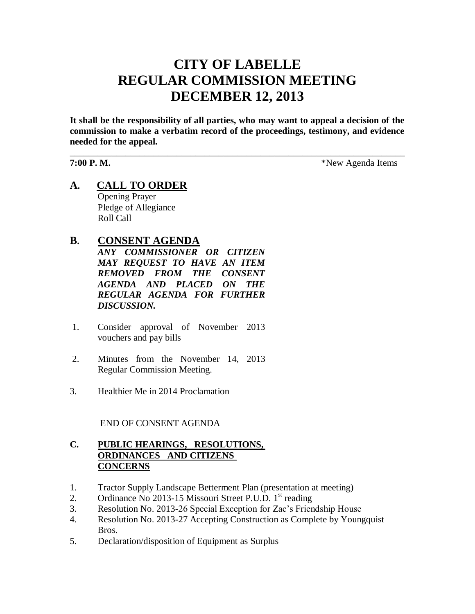# **CITY OF LABELLE REGULAR COMMISSION MEETING DECEMBER 12, 2013**

**It shall be the responsibility of all parties, who may want to appeal a decision of the commission to make a verbatim record of the proceedings, testimony, and evidence needed for the appeal.**

\_\_\_\_\_\_\_\_\_\_\_\_\_\_\_\_\_\_\_\_\_\_\_\_\_\_\_\_\_\_\_\_\_\_\_\_\_\_\_\_\_\_\_\_\_\_\_\_\_\_\_\_\_\_\_\_\_\_\_\_\_\_\_\_\_\_\_\_\_\_\_\_

**7:00 P. M.**  $*$ New Agenda Items

**A. CALL TO ORDER** Opening Prayer Pledge of Allegiance Roll Call

## **B. CONSENT AGENDA**

*ANY COMMISSIONER OR CITIZEN MAY REQUEST TO HAVE AN ITEM REMOVED FROM THE CONSENT AGENDA AND PLACED ON THE REGULAR AGENDA FOR FURTHER DISCUSSION.*

- 1. Consider approval of November 2013 vouchers and pay bills
- 2. Minutes from the November 14, 2013 Regular Commission Meeting.
- 3. Healthier Me in 2014 Proclamation

END OF CONSENT AGENDA

### **C. PUBLIC HEARINGS, RESOLUTIONS, ORDINANCES AND CITIZENS CONCERNS**

- 1. Tractor Supply Landscape Betterment Plan (presentation at meeting)
- 2. Ordinance No 2013-15 Missouri Street P.U.D.  $1<sup>st</sup>$  reading
- 3. Resolution No. 2013-26 Special Exception for Zac's Friendship House
- 4. Resolution No. 2013-27 Accepting Construction as Complete by Youngquist Bros.
- 5. Declaration/disposition of Equipment as Surplus